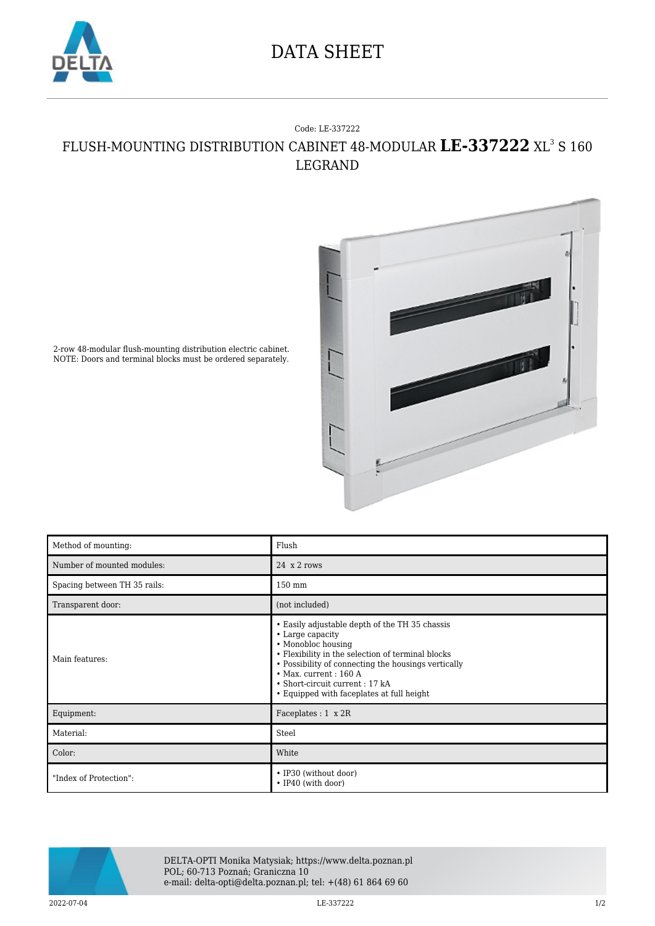

## DATA SHEET

## Code: LE-337222 FLUSH-MOUNTING DISTRIBUTION CABINET 48-MODULAR **LE-337222** XL<sup>3</sup> S 160 LEGRAND



2-row 48-modular flush-mounting distribution electric cabinet. NOTE: Doors and terminal blocks must be ordered separately.

| Method of mounting:          | Flush                                                                                                                                                                                                                                                                                                                |
|------------------------------|----------------------------------------------------------------------------------------------------------------------------------------------------------------------------------------------------------------------------------------------------------------------------------------------------------------------|
| Number of mounted modules:   | 24 x 2 rows                                                                                                                                                                                                                                                                                                          |
| Spacing between TH 35 rails: | 150 mm                                                                                                                                                                                                                                                                                                               |
| Transparent door:            | (not included)                                                                                                                                                                                                                                                                                                       |
| Main features:               | • Easily adjustable depth of the TH 35 chassis<br>• Large capacity<br>• Monobloc housing<br>• Flexibility in the selection of terminal blocks<br>• Possibility of connecting the housings vertically<br>$\bullet$ Max. current: 160 A<br>• Short-circuit current: 17 kA<br>• Equipped with faceplates at full height |
| Equipment:                   | Faceplates : $1 \times 2R$                                                                                                                                                                                                                                                                                           |
| Material:                    | Steel                                                                                                                                                                                                                                                                                                                |
| Color:                       | White                                                                                                                                                                                                                                                                                                                |
| "Index of Protection":       | • IP30 (without door)<br>• IP40 (with door)                                                                                                                                                                                                                                                                          |



DELTA-OPTI Monika Matysiak; https://www.delta.poznan.pl POL; 60-713 Poznań; Graniczna 10 e-mail: delta-opti@delta.poznan.pl; tel: +(48) 61 864 69 60